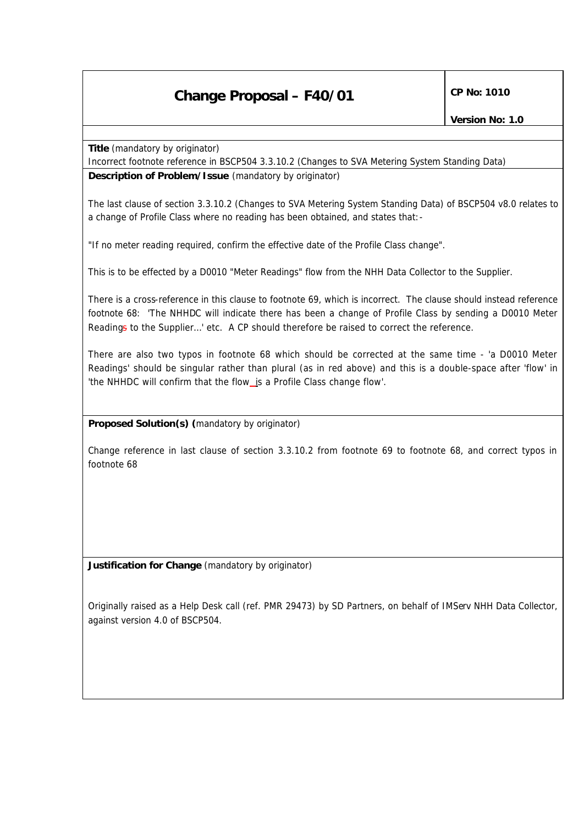## **Change Proposal – F40/01** CP No: 1010

**Title** *(mandatory by originator)*

Incorrect footnote reference in BSCP504 3.3.10.2 (Changes to SVA Metering System Standing Data)

**Description of Problem/Issue** *(mandatory by originator)*

The last clause of section 3.3.10.2 (Changes to SVA Metering System Standing Data) of BSCP504 v8.0 relates to a change of Profile Class where no reading has been obtained, and states that:-

"If no meter reading required, confirm the effective date of the Profile Class change".

This is to be effected by a D0010 "Meter Readings" flow from the NHH Data Collector to the Supplier.

There is a cross-reference in this clause to footnote 69, which is incorrect. The clause should instead reference footnote 68: 'The NHHDC will indicate there has been a change of Profile Class by sending a D0010 Meter Readings to the Supplier...' etc. A CP should therefore be raised to correct the reference.

There are also two typos in footnote 68 which should be corrected at the same time - 'a D0010 Meter Readings' should be singular rather than plural (as in red above) and this is a double-space after 'flow' in 'the NHHDC will confirm that the flow\_is a Profile Class change flow'.

## **Proposed Solution(s)** *(mandatory by originator)*

Change reference in last clause of section 3.3.10.2 from footnote 69 to footnote 68, and correct typos in footnote 68

**Justification for Change** *(mandatory by originator)*

Originally raised as a Help Desk call (ref. PMR 29473) by SD Partners, on behalf of IMServ NHH Data Collector, against version 4.0 of BSCP504.